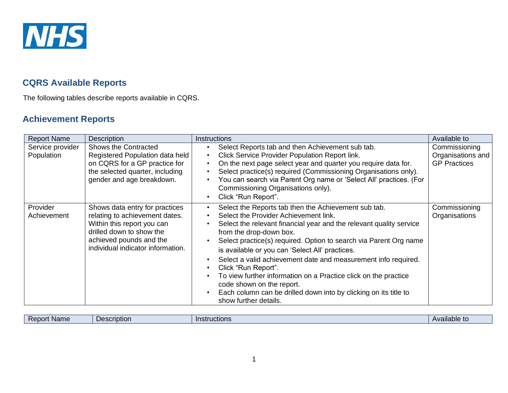

## **CQRS Available Reports**

The following tables describe reports available in CQRS.

# **Achievement Reports**

| <b>Report Name</b>             | Description                                                                                                                                                                                | Instructions                                                                                                                                                                                                                                                                                                                                                                                                                                                                                                                                                                                                                                                      | Available to                                              |
|--------------------------------|--------------------------------------------------------------------------------------------------------------------------------------------------------------------------------------------|-------------------------------------------------------------------------------------------------------------------------------------------------------------------------------------------------------------------------------------------------------------------------------------------------------------------------------------------------------------------------------------------------------------------------------------------------------------------------------------------------------------------------------------------------------------------------------------------------------------------------------------------------------------------|-----------------------------------------------------------|
| Service provider<br>Population | Shows the Contracted<br>Registered Population data held<br>on CQRS for a GP practice for<br>the selected quarter, including<br>gender and age breakdown.                                   | Select Reports tab and then Achievement sub tab.<br>$\bullet$<br>Click Service Provider Population Report link.<br>$\bullet$<br>On the next page select year and quarter you require data for.<br>$\bullet$<br>Select practice(s) required (Commissioning Organisations only).<br>$\bullet$<br>You can search via Parent Org name or 'Select All' practices. (For<br>Commissioning Organisations only).<br>Click "Run Report".<br>$\bullet$                                                                                                                                                                                                                       | Commissioning<br>Organisations and<br><b>GP Practices</b> |
| Provider<br>Achievement        | Shows data entry for practices<br>relating to achievement dates.<br>Within this report you can<br>drilled down to show the<br>achieved pounds and the<br>individual indicator information. | Select the Reports tab then the Achievement sub tab.<br>$\bullet$<br>Select the Provider Achievement link.<br>$\bullet$<br>Select the relevant financial year and the relevant quality service<br>from the drop-down box.<br>Select practice(s) required. Option to search via Parent Org name<br>is available or you can 'Select All' practices.<br>Select a valid achievement date and measurement info required.<br>$\bullet$<br>Click "Run Report".<br>$\bullet$<br>To view further information on a Practice click on the practice<br>code shown on the report.<br>Each column can be drilled down into by clicking on its title to<br>show further details. | Commissioning<br>Organisations                            |

|  | Rep<br><b>Name</b><br>m | <b>Scription</b> | IIAC<br>InCH<br>ouuvuone | $\cdot$ .<br>vailable<br>. . |
|--|-------------------------|------------------|--------------------------|------------------------------|
|--|-------------------------|------------------|--------------------------|------------------------------|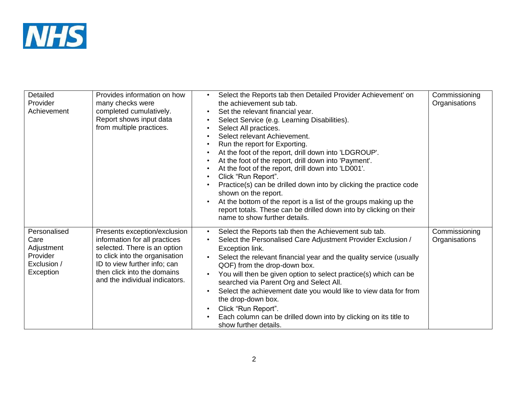

| Detailed<br>Provider<br>Achievement                                        | Provides information on how<br>many checks were<br>completed cumulatively.<br>Report shows input data<br>from multiple practices.                                                                                                | Select the Reports tab then Detailed Provider Achievement' on<br>the achievement sub tab.<br>Set the relevant financial year.<br>$\bullet$<br>Select Service (e.g. Learning Disabilities).<br>$\bullet$<br>Select All practices.<br>Select relevant Achievement.<br>$\bullet$<br>Run the report for Exporting.<br>At the foot of the report, drill down into 'LDGROUP'.<br>$\bullet$<br>At the foot of the report, drill down into 'Payment'.<br>$\bullet$<br>At the foot of the report, drill down into 'LD001'.<br>$\bullet$<br>Click "Run Report".<br>$\bullet$<br>Practice(s) can be drilled down into by clicking the practice code<br>shown on the report.<br>At the bottom of the report is a list of the groups making up the<br>report totals. These can be drilled down into by clicking on their<br>name to show further details. | Commissioning<br>Organisations |
|----------------------------------------------------------------------------|----------------------------------------------------------------------------------------------------------------------------------------------------------------------------------------------------------------------------------|----------------------------------------------------------------------------------------------------------------------------------------------------------------------------------------------------------------------------------------------------------------------------------------------------------------------------------------------------------------------------------------------------------------------------------------------------------------------------------------------------------------------------------------------------------------------------------------------------------------------------------------------------------------------------------------------------------------------------------------------------------------------------------------------------------------------------------------------|--------------------------------|
| Personalised<br>Care<br>Adjustment<br>Provider<br>Exclusion /<br>Exception | Presents exception/exclusion<br>information for all practices<br>selected. There is an option<br>to click into the organisation<br>ID to view further info; can<br>then click into the domains<br>and the individual indicators. | Select the Reports tab then the Achievement sub tab.<br>$\bullet$<br>Select the Personalised Care Adjustment Provider Exclusion /<br>Exception link.<br>Select the relevant financial year and the quality service (usually<br>$\bullet$<br>QOF) from the drop-down box.<br>You will then be given option to select practice(s) which can be<br>searched via Parent Org and Select All.<br>Select the achievement date you would like to view data for from<br>the drop-down box.<br>Click "Run Report".<br>$\bullet$<br>Each column can be drilled down into by clicking on its title to<br>show further details.                                                                                                                                                                                                                           | Commissioning<br>Organisations |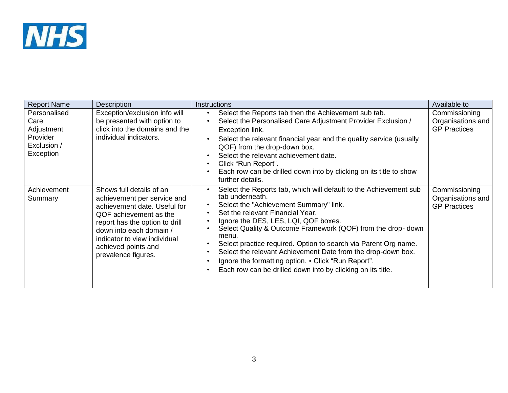

| <b>Report Name</b>                                                         | <b>Description</b>                                                                                                                                                                                                                                           | Instructions                                                                                                                                                                                                                                                                                                                                                                                                                                                                                                                                                          | Available to                                              |
|----------------------------------------------------------------------------|--------------------------------------------------------------------------------------------------------------------------------------------------------------------------------------------------------------------------------------------------------------|-----------------------------------------------------------------------------------------------------------------------------------------------------------------------------------------------------------------------------------------------------------------------------------------------------------------------------------------------------------------------------------------------------------------------------------------------------------------------------------------------------------------------------------------------------------------------|-----------------------------------------------------------|
| Personalised<br>Care<br>Adjustment<br>Provider<br>Exclusion /<br>Exception | Exception/exclusion info will<br>be presented with option to<br>click into the domains and the<br>individual indicators.                                                                                                                                     | Select the Reports tab then the Achievement sub tab.<br>$\bullet$<br>Select the Personalised Care Adjustment Provider Exclusion /<br>Exception link.<br>Select the relevant financial year and the quality service (usually<br>QOF) from the drop-down box.<br>Select the relevant achievement date.<br>$\bullet$<br>Click "Run Report".<br>$\bullet$<br>Each row can be drilled down into by clicking on its title to show<br>$\bullet$<br>further details.                                                                                                          | Commissioning<br>Organisations and<br><b>GP Practices</b> |
| Achievement<br>Summary                                                     | Shows full details of an<br>achievement per service and<br>achievement date. Useful for<br>QOF achievement as the<br>report has the option to drill<br>down into each domain /<br>indicator to view individual<br>achieved points and<br>prevalence figures. | Select the Reports tab, which will default to the Achievement sub<br>tab underneath.<br>Select the "Achievement Summary" link.<br>Set the relevant Financial Year.<br>Ignore the DES, LES, LQI, QOF boxes.<br>$\bullet$<br>Select Quality & Outcome Framework (QOF) from the drop-down<br>menu.<br>Select practice required. Option to search via Parent Org name.<br>Select the relevant Achievement Date from the drop-down box.<br>Ignore the formatting option. • Click "Run Report".<br>$\bullet$<br>Each row can be drilled down into by clicking on its title. | Commissioning<br>Organisations and<br><b>GP Practices</b> |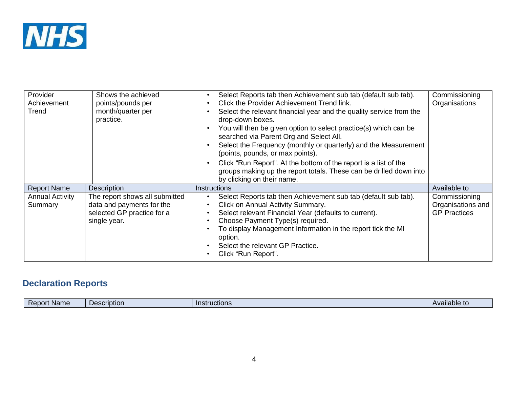

| Provider<br>Achievement<br>Trend  | Shows the achieved<br>points/pounds per<br>month/quarter per<br>practice.                                 | Select Reports tab then Achievement sub tab (default sub tab).<br>$\bullet$<br>Click the Provider Achievement Trend link.<br>Select the relevant financial year and the quality service from the<br>$\bullet$<br>drop-down boxes.<br>You will then be given option to select practice(s) which can be<br>searched via Parent Org and Select All.<br>Select the Frequency (monthly or quarterly) and the Measurement<br>$\bullet$<br>(points, pounds, or max points).<br>Click "Run Report". At the bottom of the report is a list of the<br>$\bullet$<br>groups making up the report totals. These can be drilled down into<br>by clicking on their name. | Commissioning<br>Organisations                            |
|-----------------------------------|-----------------------------------------------------------------------------------------------------------|-----------------------------------------------------------------------------------------------------------------------------------------------------------------------------------------------------------------------------------------------------------------------------------------------------------------------------------------------------------------------------------------------------------------------------------------------------------------------------------------------------------------------------------------------------------------------------------------------------------------------------------------------------------|-----------------------------------------------------------|
| <b>Report Name</b>                | <b>Description</b>                                                                                        | Instructions                                                                                                                                                                                                                                                                                                                                                                                                                                                                                                                                                                                                                                              | Available to                                              |
| <b>Annual Activity</b><br>Summary | The report shows all submitted<br>data and payments for the<br>selected GP practice for a<br>single year. | Select Reports tab then Achievement sub tab (default sub tab).<br>Click on Annual Activity Summary.<br>$\bullet$<br>Select relevant Financial Year (defaults to current).<br>Choose Payment Type(s) required.<br>$\bullet$<br>To display Management Information in the report tick the MI<br>option.<br>Select the relevant GP Practice.<br>Click "Run Report".                                                                                                                                                                                                                                                                                           | Commissioning<br>Organisations and<br><b>GP Practices</b> |

# **Declaration Reports**

| .<br>ructions<br>Des.<br>10<br><b>Name</b><br>ПС<br>$R_{\rm th}$<br>JOF.<br>чнашь. |  |  | scription |  |  |
|------------------------------------------------------------------------------------|--|--|-----------|--|--|
|------------------------------------------------------------------------------------|--|--|-----------|--|--|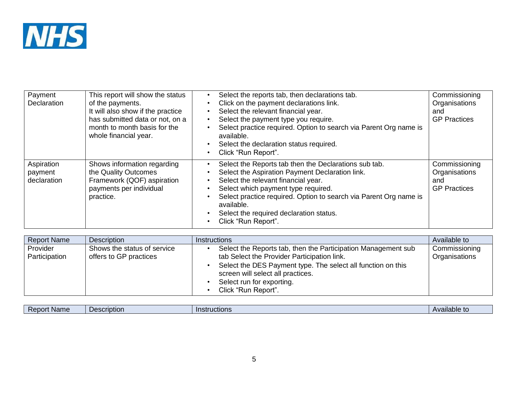

| Payment<br><b>Declaration</b>        | This report will show the status<br>of the payments.<br>It will also show if the practice<br>has submitted data or not, on a<br>month to month basis for the<br>whole financial year. | Select the reports tab, then declarations tab.<br>Click on the payment declarations link.<br>$\bullet$<br>Select the relevant financial year.<br>Select the payment type you require.<br>$\bullet$<br>Select practice required. Option to search via Parent Org name is<br>available.<br>Select the declaration status required.<br>Click "Run Report".  | Commissioning<br>Organisations<br>and<br><b>GP Practices</b> |
|--------------------------------------|---------------------------------------------------------------------------------------------------------------------------------------------------------------------------------------|----------------------------------------------------------------------------------------------------------------------------------------------------------------------------------------------------------------------------------------------------------------------------------------------------------------------------------------------------------|--------------------------------------------------------------|
| Aspiration<br>payment<br>declaration | Shows information regarding<br>the Quality Outcomes<br>Framework (QOF) aspiration<br>payments per individual<br>practice.                                                             | Select the Reports tab then the Declarations sub tab.<br>$\bullet$<br>Select the Aspiration Payment Declaration link.<br>Select the relevant financial year.<br>Select which payment type required.<br>Select practice required. Option to search via Parent Org name is<br>available.<br>Select the required declaration status.<br>Click "Run Report". | Commissioning<br>Organisations<br>and<br><b>GP</b> Practices |

| <b>Report Name</b>        | <b>Description</b>                                    | <i>Instructions</i>                                                                                                                                                                                                                                                   | Available to                   |
|---------------------------|-------------------------------------------------------|-----------------------------------------------------------------------------------------------------------------------------------------------------------------------------------------------------------------------------------------------------------------------|--------------------------------|
| Provider<br>Participation | Shows the status of service<br>offers to GP practices | Select the Reports tab, then the Participation Management sub<br>tab Select the Provider Participation link.<br>Select the DES Payment type. The select all function on this<br>screen will select all practices.<br>Select run for exporting.<br>Click "Run Report". | Commissioning<br>Organisations |

| Report<br>เstructions<br><b>DACCLIDE</b><br><b>Name</b><br>, , , ,<br>1011<br>$\overline{\phantom{0}}$ | $\bullet$<br><b>Wallable in</b> |
|--------------------------------------------------------------------------------------------------------|---------------------------------|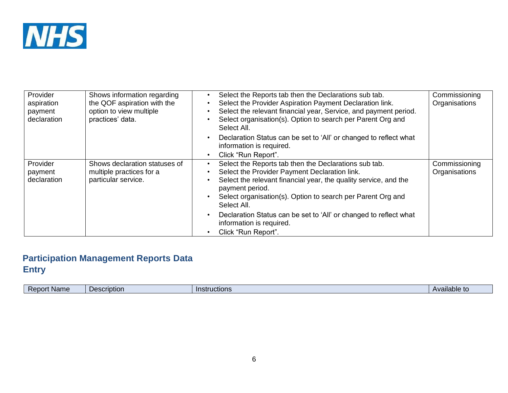

| Provider<br>aspiration<br>payment<br>declaration | Shows information regarding<br>the QOF aspiration with the<br>option to view multiple<br>practices' data. | Select the Reports tab then the Declarations sub tab.<br>Select the Provider Aspiration Payment Declaration link.<br>Select the relevant financial year, Service, and payment period.<br>Select organisation(s). Option to search per Parent Org and<br>Select All.                      | Commissioning<br>Organisations |
|--------------------------------------------------|-----------------------------------------------------------------------------------------------------------|------------------------------------------------------------------------------------------------------------------------------------------------------------------------------------------------------------------------------------------------------------------------------------------|--------------------------------|
|                                                  |                                                                                                           | Declaration Status can be set to 'All' or changed to reflect what<br>information is required.<br>Click "Run Report".<br>$\bullet$                                                                                                                                                        |                                |
| Provider<br>payment<br>declaration               | Shows declaration statuses of<br>multiple practices for a<br>particular service.                          | Select the Reports tab then the Declarations sub tab.<br>$\bullet$<br>Select the Provider Payment Declaration link.<br>Select the relevant financial year, the quality service, and the<br>payment period.<br>Select organisation(s). Option to search per Parent Org and<br>Select All. | Commissioning<br>Organisations |
|                                                  |                                                                                                           | Declaration Status can be set to 'All' or changed to reflect what<br>$\bullet$<br>information is required.<br>Click "Run Report".                                                                                                                                                        |                                |

## **Participation Management Reports Data Entry**

| <b>Name</b> | Jescription | ּ       | אומפוונ    |
|-------------|-------------|---------|------------|
| Report      |             | iuuunia | aliable to |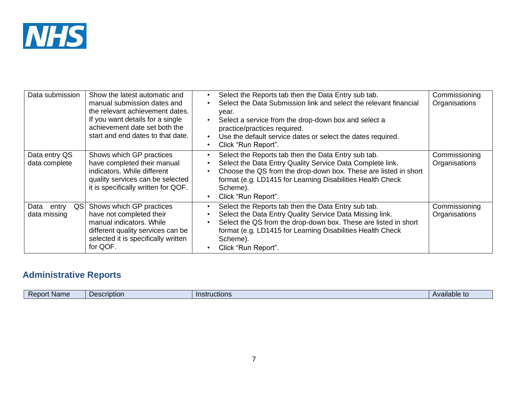

| Data submission                      | Show the latest automatic and<br>manual submission dates and<br>the relevant achievement dates.<br>If you want details for a single<br>achievement date set both the<br>start and end dates to that date. | Select the Reports tab then the Data Entry sub tab.<br>Select the Data Submission link and select the relevant financial<br>year.<br>Select a service from the drop-down box and select a<br>practice/practices required.<br>Use the default service dates or select the dates required.<br>$\bullet$<br>Click "Run Report".<br>$\bullet$ | Commissioning<br>Organisations |
|--------------------------------------|-----------------------------------------------------------------------------------------------------------------------------------------------------------------------------------------------------------|-------------------------------------------------------------------------------------------------------------------------------------------------------------------------------------------------------------------------------------------------------------------------------------------------------------------------------------------|--------------------------------|
| Data entry QS<br>data complete       | Shows which GP practices<br>have completed their manual<br>indicators. While different<br>quality services can be selected<br>it is specifically written for QOF.                                         | Select the Reports tab then the Data Entry sub tab.<br>Select the Data Entry Quality Service Data Complete link.<br>Choose the QS from the drop-down box. These are listed in short<br>format (e.g. LD1415 for Learning Disabilities Health Check<br>Scheme).<br>Click "Run Report".                                                      | Commissioning<br>Organisations |
| Data<br>QSI<br>entry<br>data missing | Shows which GP practices<br>have not completed their<br>manual indicators. While<br>different quality services can be<br>selected it is specifically written<br>for QOF.                                  | Select the Reports tab then the Data Entry sub tab.<br>$\bullet$<br>Select the Data Entry Quality Service Data Missing link.<br>$\bullet$<br>Select the QS from the drop-down box. These are listed in short<br>format (e.g. LD1415 for Learning Disabilities Health Check<br>Scheme).<br>Click "Run Report".                             | Commissioning<br>Organisations |

# **Administrative Reports**

| <b>Name</b><br>Available<br>uctions<br><b>Description</b><br><b>Report</b><br>ι το<br>. . |
|-------------------------------------------------------------------------------------------|
|-------------------------------------------------------------------------------------------|